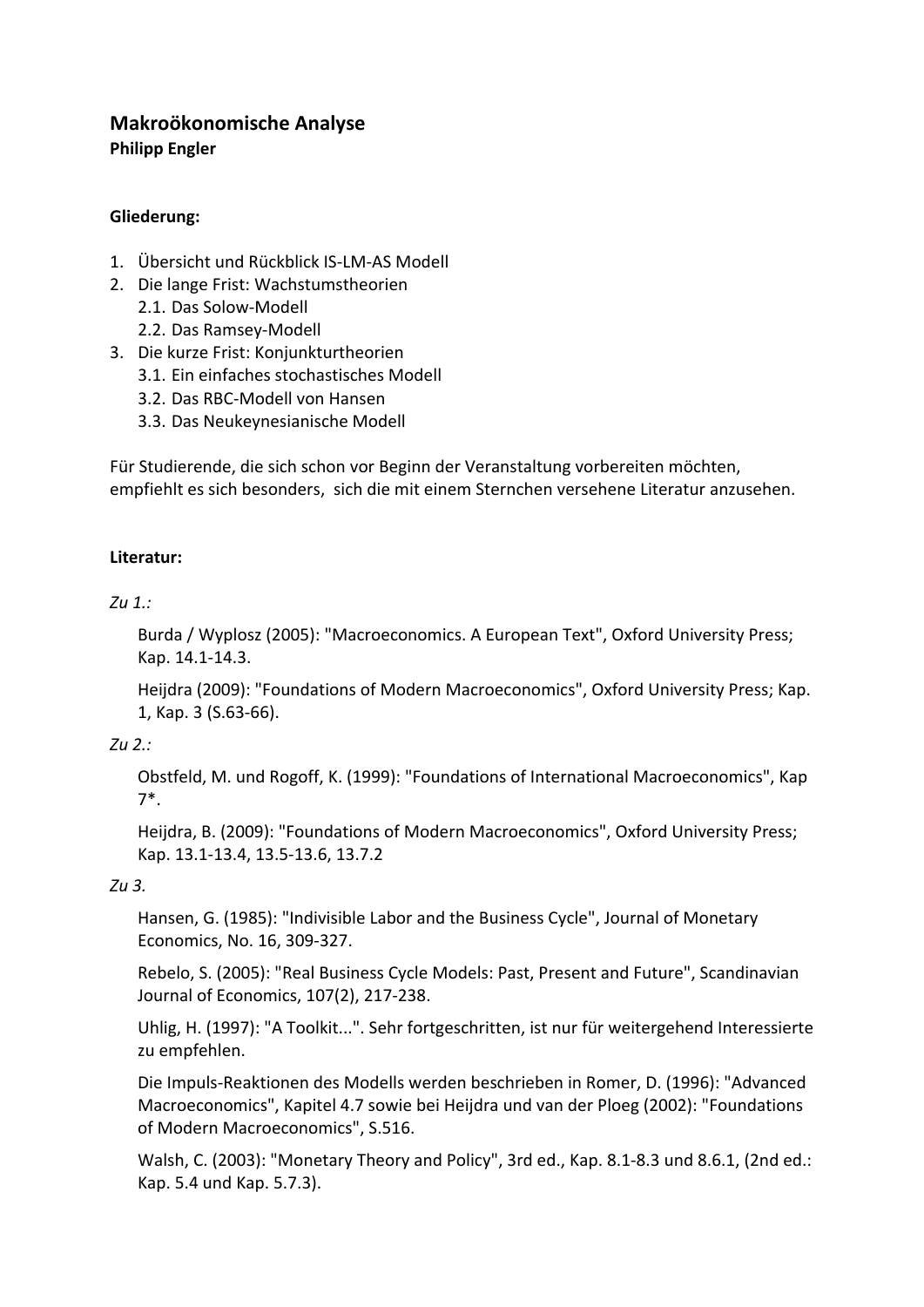# **Makroökonomische Analyse Philipp Engler**

## **Gliederung:**

- 1. Übersicht und Rückblick IS‐LM‐AS Modell
- 2. Die lange Frist: Wachstumstheorien 2.1. Das Solow‐Modell
	- 2.2. Das Ramsey‐Modell
- 3. Die kurze Frist: Konjunkturtheorien
	- 3.1. Ein einfaches stochastisches Modell
	- 3.2. Das RBC‐Modell von Hansen
	- 3.3. Das Neukeynesianische Modell

Für Studierende, die sich schon vor Beginn der Veranstaltung vorbereiten möchten, empfiehlt es sich besonders, sich die mit einem Sternchen versehene Literatur anzusehen.

### **Literatur:**

### *Zu 1.:*

Burda / Wyplosz (2005): "Macroeconomics. A European Text", Oxford University Press; Kap. 14.1‐14.3.

Heijdra (2009): "Foundations of Modern Macroeconomics", Oxford University Press; Kap. 1, Kap. 3 (S.63‐66).

## *Zu 2.:*

Obstfeld, M. und Rogoff, K. (1999): "Foundations of International Macroeconomics", Kap 7\*.

Heijdra, B. (2009): "Foundations of Modern Macroeconomics", Oxford University Press; Kap. 13.1‐13.4, 13.5‐13.6, 13.7.2

## *Zu 3.*

Hansen, G. (1985): "Indivisible Labor and the Business Cycle", Journal of Monetary Economics, No. 16, 309‐327.

Rebelo, S. (2005): "Real Business Cycle Models: Past, Present and Future", Scandinavian Journal of Economics, 107(2), 217‐238.

Uhlig, H. (1997): "A Toolkit...". Sehr fortgeschritten, ist nur für weitergehend Interessierte zu empfehlen.

Die Impuls‐Reaktionen des Modells werden beschrieben in Romer, D. (1996): "Advanced Macroeconomics", Kapitel 4.7 sowie bei Heijdra und van der Ploeg (2002): "Foundations of Modern Macroeconomics", S.516.

Walsh, C. (2003): "Monetary Theory and Policy", 3rd ed., Kap. 8.1‐8.3 und 8.6.1, (2nd ed.: Kap. 5.4 und Kap. 5.7.3).